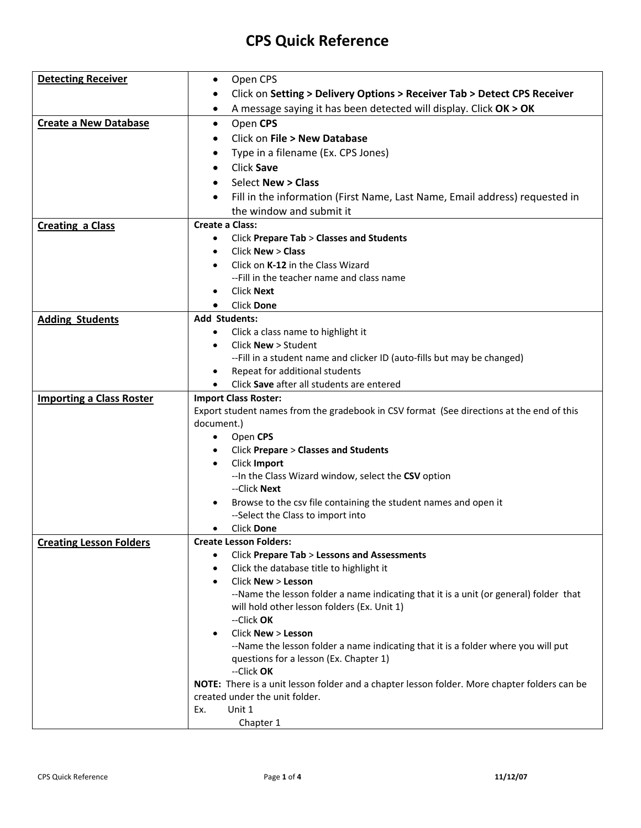## **CPS Quick Reference**

| <b>Detecting Receiver</b>       | Open CPS<br>$\bullet$                                                                                   |
|---------------------------------|---------------------------------------------------------------------------------------------------------|
|                                 | Click on Setting > Delivery Options > Receiver Tab > Detect CPS Receiver<br>$\bullet$                   |
|                                 | A message saying it has been detected will display. Click OK > OK<br>٠                                  |
| <b>Create a New Database</b>    | Open CPS<br>$\bullet$                                                                                   |
|                                 | Click on File > New Database<br>$\bullet$                                                               |
|                                 | Type in a filename (Ex. CPS Jones)                                                                      |
|                                 | Click Save                                                                                              |
|                                 | <b>Select New &gt; Class</b>                                                                            |
|                                 |                                                                                                         |
|                                 | Fill in the information (First Name, Last Name, Email address) requested in<br>the window and submit it |
|                                 | Create a Class:                                                                                         |
| <b>Creating a Class</b>         | <b>Click Prepare Tab &gt; Classes and Students</b>                                                      |
|                                 | Click New > Class                                                                                       |
|                                 | Click on K-12 in the Class Wizard                                                                       |
|                                 | --Fill in the teacher name and class name                                                               |
|                                 | <b>Click Next</b>                                                                                       |
|                                 | <b>Click Done</b>                                                                                       |
| <b>Adding Students</b>          | <b>Add Students:</b>                                                                                    |
|                                 | Click a class name to highlight it<br>$\bullet$                                                         |
|                                 | Click <b>New</b> > Student                                                                              |
|                                 | -- Fill in a student name and clicker ID (auto-fills but may be changed)                                |
|                                 | Repeat for additional students                                                                          |
|                                 | Click Save after all students are entered                                                               |
| <b>Importing a Class Roster</b> | <b>Import Class Roster:</b>                                                                             |
|                                 | Export student names from the gradebook in CSV format (See directions at the end of this                |
|                                 | document.)                                                                                              |
|                                 | Open CPS<br>$\bullet$                                                                                   |
|                                 | <b>Click Prepare &gt; Classes and Students</b>                                                          |
|                                 | Click Import<br>$\bullet$                                                                               |
|                                 | -- In the Class Wizard window, select the CSV option                                                    |
|                                 | --Click Next                                                                                            |
|                                 | Browse to the csv file containing the student names and open it                                         |
|                                 | --Select the Class to import into                                                                       |
|                                 | <b>Click Done</b><br><b>Create Lesson Folders:</b>                                                      |
| <b>Creating Lesson Folders</b>  | <b>Click Prepare Tab &gt; Lessons and Assessments</b><br>$\bullet$                                      |
|                                 | Click the database title to highlight it                                                                |
|                                 | Click New > Lesson<br>$\bullet$                                                                         |
|                                 | --Name the lesson folder a name indicating that it is a unit (or general) folder that                   |
|                                 | will hold other lesson folders (Ex. Unit 1)                                                             |
|                                 | --Click OK                                                                                              |
|                                 | Click New > Lesson<br>$\bullet$                                                                         |
|                                 | --Name the lesson folder a name indicating that it is a folder where you will put                       |
|                                 | questions for a lesson (Ex. Chapter 1)                                                                  |
|                                 | --Click OK                                                                                              |
|                                 | NOTE: There is a unit lesson folder and a chapter lesson folder. More chapter folders can be            |
|                                 | created under the unit folder.                                                                          |
|                                 | Unit 1<br>Ex.                                                                                           |
|                                 | Chapter 1                                                                                               |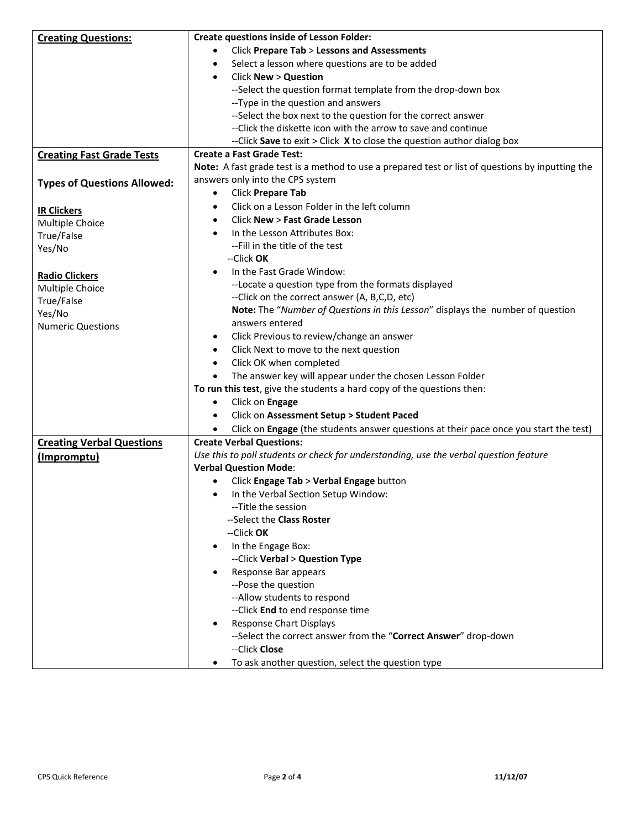| <b>Creating Questions:</b>         | <b>Create questions inside of Lesson Folder:</b>                                                 |
|------------------------------------|--------------------------------------------------------------------------------------------------|
|                                    | <b>Click Prepare Tab &gt; Lessons and Assessments</b>                                            |
|                                    | Select a lesson where questions are to be added<br>$\bullet$                                     |
|                                    | <b>Click New &gt; Question</b><br>$\bullet$                                                      |
|                                    | --Select the question format template from the drop-down box                                     |
|                                    | --Type in the question and answers                                                               |
|                                    | --Select the box next to the question for the correct answer                                     |
|                                    | --Click the diskette icon with the arrow to save and continue                                    |
|                                    | --Click Save to exit $>$ Click $X$ to close the question author dialog box                       |
| <b>Creating Fast Grade Tests</b>   | <b>Create a Fast Grade Test:</b>                                                                 |
|                                    | Note: A fast grade test is a method to use a prepared test or list of questions by inputting the |
| <b>Types of Questions Allowed:</b> | answers only into the CPS system                                                                 |
|                                    | Click Prepare Tab<br>$\bullet$                                                                   |
| <b>IR Clickers</b>                 | Click on a Lesson Folder in the left column<br>$\bullet$                                         |
| Multiple Choice                    | <b>Click New &gt; Fast Grade Lesson</b><br>$\bullet$                                             |
| True/False                         | In the Lesson Attributes Box:<br>$\bullet$                                                       |
| Yes/No                             | -- Fill in the title of the test                                                                 |
|                                    | --Click OK                                                                                       |
| <b>Radio Clickers</b>              | In the Fast Grade Window:<br>$\bullet$                                                           |
| Multiple Choice                    | --Locate a question type from the formats displayed                                              |
| True/False                         | --Click on the correct answer (A, B,C,D, etc)                                                    |
| Yes/No                             | Note: The "Number of Questions in this Lesson" displays the number of question                   |
| <b>Numeric Questions</b>           | answers entered                                                                                  |
|                                    | Click Previous to review/change an answer<br>٠                                                   |
|                                    | Click Next to move to the next question                                                          |
|                                    | Click OK when completed<br>٠                                                                     |
|                                    | The answer key will appear under the chosen Lesson Folder                                        |
|                                    | To run this test, give the students a hard copy of the questions then:                           |
|                                    | Click on Engage<br>$\bullet$                                                                     |
|                                    | Click on Assessment Setup > Student Paced<br>$\bullet$                                           |
|                                    | Click on Engage (the students answer questions at their pace once you start the test)            |
| <b>Creating Verbal Questions</b>   | <b>Create Verbal Questions:</b>                                                                  |
| (Impromptu)                        | Use this to poll students or check for understanding, use the verbal question feature            |
|                                    | <b>Verbal Question Mode:</b>                                                                     |
|                                    | Click Engage Tab > Verbal Engage button                                                          |
|                                    | In the Verbal Section Setup Window:                                                              |
|                                    | --Title the session                                                                              |
|                                    | --Select the Class Roster                                                                        |
|                                    | --Click OK                                                                                       |
|                                    | In the Engage Box:<br>$\bullet$                                                                  |
|                                    | --Click Verbal > Question Type                                                                   |
|                                    |                                                                                                  |
|                                    | Response Bar appears                                                                             |
|                                    | --Pose the question                                                                              |
|                                    | -- Allow students to respond                                                                     |
|                                    | -- Click End to end response time                                                                |
|                                    | <b>Response Chart Displays</b>                                                                   |
|                                    | --Select the correct answer from the "Correct Answer" drop-down<br>--Click Close                 |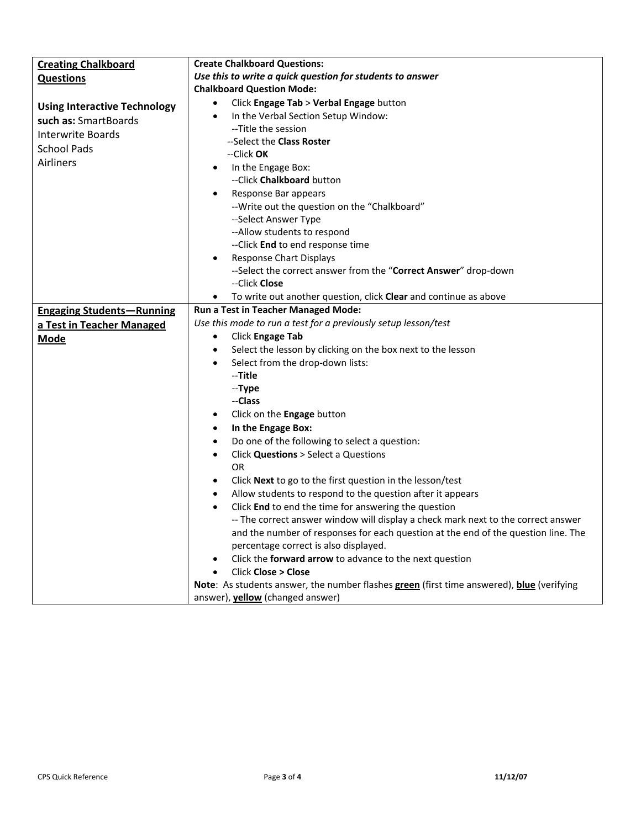| <b>Creating Chalkboard</b>          | <b>Create Chalkboard Questions:</b>                                                       |
|-------------------------------------|-------------------------------------------------------------------------------------------|
| <b>Questions</b>                    | Use this to write a quick question for students to answer                                 |
|                                     | <b>Chalkboard Question Mode:</b>                                                          |
| <b>Using Interactive Technology</b> | Click Engage Tab > Verbal Engage button<br>$\bullet$                                      |
| such as: SmartBoards                | In the Verbal Section Setup Window:<br>$\bullet$                                          |
| <b>Interwrite Boards</b>            | --Title the session                                                                       |
|                                     | --Select the Class Roster                                                                 |
| <b>School Pads</b>                  | --Click OK                                                                                |
| Airliners                           | In the Engage Box:                                                                        |
|                                     | --Click Chalkboard button                                                                 |
|                                     | Response Bar appears                                                                      |
|                                     | -- Write out the question on the "Chalkboard"                                             |
|                                     | --Select Answer Type                                                                      |
|                                     | --Allow students to respond                                                               |
|                                     | -- Click End to end response time                                                         |
|                                     | <b>Response Chart Displays</b>                                                            |
|                                     | --Select the correct answer from the "Correct Answer" drop-down                           |
|                                     | --Click Close                                                                             |
|                                     | To write out another question, click Clear and continue as above                          |
| <b>Engaging Students-Running</b>    | Run a Test in Teacher Managed Mode:                                                       |
| a Test in Teacher Managed           | Use this mode to run a test for a previously setup lesson/test                            |
| <b>Mode</b>                         | Click Engage Tab<br>$\bullet$                                                             |
|                                     | Select the lesson by clicking on the box next to the lesson                               |
|                                     | Select from the drop-down lists:                                                          |
|                                     | --Title                                                                                   |
|                                     | --Type                                                                                    |
|                                     | --Class                                                                                   |
|                                     | Click on the Engage button<br>$\bullet$                                                   |
|                                     | In the Engage Box:<br>$\bullet$                                                           |
|                                     | Do one of the following to select a question:<br>$\bullet$                                |
|                                     | Click Questions > Select a Questions<br>$\bullet$                                         |
|                                     | <b>OR</b>                                                                                 |
|                                     | Click Next to go to the first question in the lesson/test                                 |
|                                     | Allow students to respond to the question after it appears                                |
|                                     | $\bullet$                                                                                 |
|                                     | Click End to end the time for answering the question                                      |
|                                     | -- The correct answer window will display a check mark next to the correct answer         |
|                                     | and the number of responses for each question at the end of the question line. The        |
|                                     | percentage correct is also displayed.                                                     |
|                                     | Click the forward arrow to advance to the next question                                   |
|                                     | Click Close > Close                                                                       |
|                                     | Note: As students answer, the number flashes green (first time answered), blue (verifying |
|                                     | answer), yellow (changed answer)                                                          |